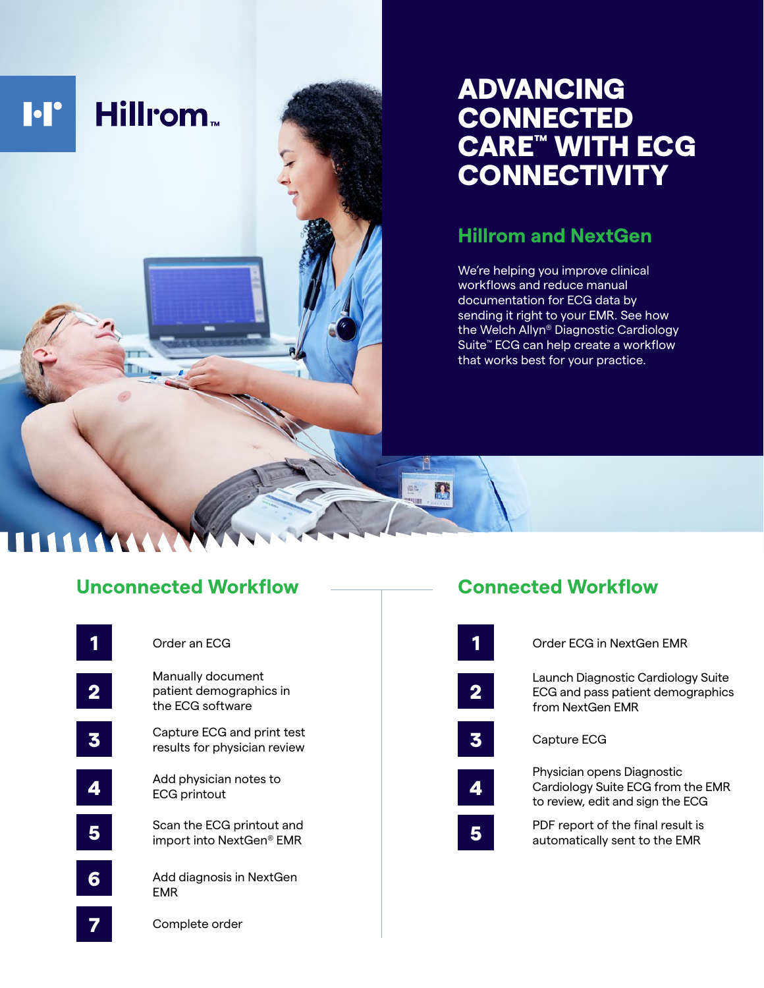# **Hillrom I**·I'

## ADVANCING **CONNECTED** CARE™ WITH ECG **CONNECTIVITY**

### **Hillrom and NextGen**

We're helping you improve clinical workflows and reduce manual documentation for ECG data by sending it right to your EMR. See how the Welch Allyn® Diagnostic Cardiology Suite™ ECG can help create a workflow that works best for your practice.

#### **Unconnected Workflow**

|                  | Order an ECG                                                     |  |
|------------------|------------------------------------------------------------------|--|
| $\boldsymbol{2}$ | Manually document<br>patient demographics in<br>the ECG software |  |
|                  | Capture ECG and print test<br>results for physician review       |  |
| 4                | Add physician notes to<br><b>ECG printout</b>                    |  |
|                  | Scan the ECG printout and<br>import into NextGen® EMR            |  |
| 6                | Add diagnosis in NextGen<br><b>EMR</b>                           |  |
|                  | Complete order                                                   |  |

#### **Connected Workflow**

B

|   | Order ECG in NextGen EMR                                                                            |  |
|---|-----------------------------------------------------------------------------------------------------|--|
|   | Launch Diagnostic Cardiology Suite<br>ECG and pass patient demographics<br>from NextGen FMR         |  |
| 5 | Capture ECG                                                                                         |  |
|   | Physician opens Diagnostic<br>Cardiology Suite ECG from the EMR<br>to review, edit and sign the ECG |  |
|   | PDF report of the final result is<br>automatically sent to the EMR                                  |  |